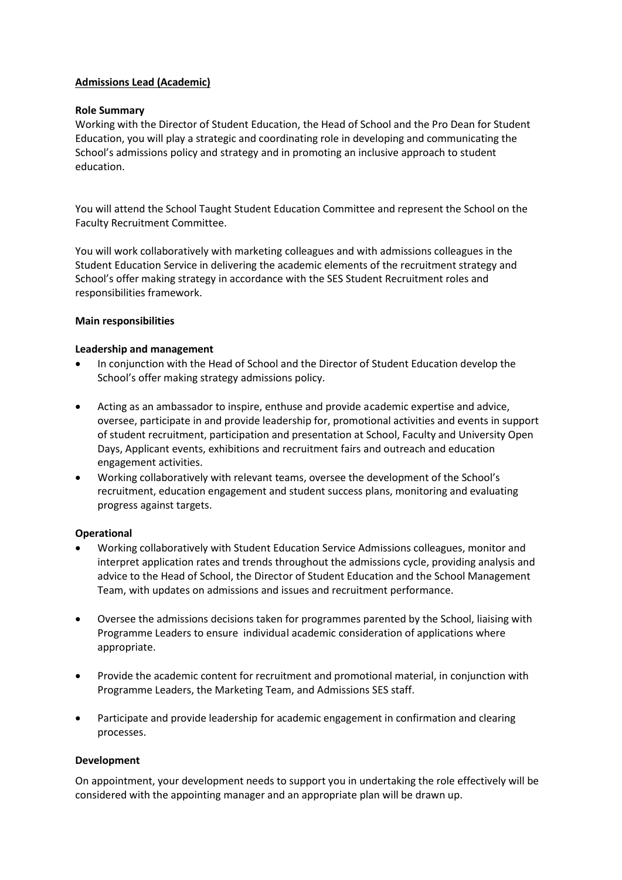## **Admissions Lead (Academic)**

### **Role Summary**

Working with the Director of Student Education, the Head of School and the Pro Dean for Student Education, you will play a strategic and coordinating role in developing and communicating the School's admissions policy and strategy and in promoting an inclusive approach to student education.

You will attend the School Taught Student Education Committee and represent the School on the Faculty Recruitment Committee.

You will work collaboratively with marketing colleagues and with admissions colleagues in the Student Education Service in delivering the academic elements of the recruitment strategy and School's offer making strategy in accordance with the SES Student Recruitment roles and responsibilities framework.

### **Main responsibilities**

## **Leadership and management**

- In conjunction with the Head of School and the Director of Student Education develop the School's offer making strategy admissions policy.
- Acting as an ambassador to inspire, enthuse and provide academic expertise and advice, oversee, participate in and provide leadership for, promotional activities and events in support of student recruitment, participation and presentation at School, Faculty and University Open Days, Applicant events, exhibitions and recruitment fairs and outreach and education engagement activities.
- Working collaboratively with relevant teams, oversee the development of the School's recruitment, education engagement and student success plans, monitoring and evaluating progress against targets.

### **Operational**

- Working collaboratively with Student Education Service Admissions colleagues, monitor and interpret application rates and trends throughout the admissions cycle, providing analysis and advice to the Head of School, the Director of Student Education and the School Management Team, with updates on admissions and issues and recruitment performance.
- Oversee the admissions decisions taken for programmes parented by the School, liaising with Programme Leaders to ensure individual academic consideration of applications where appropriate.
- Provide the academic content for recruitment and promotional material, in conjunction with Programme Leaders, the Marketing Team, and Admissions SES staff.
- Participate and provide leadership for academic engagement in confirmation and clearing processes.

## **Development**

On appointment, your development needs to support you in undertaking the role effectively will be considered with the appointing manager and an appropriate plan will be drawn up.